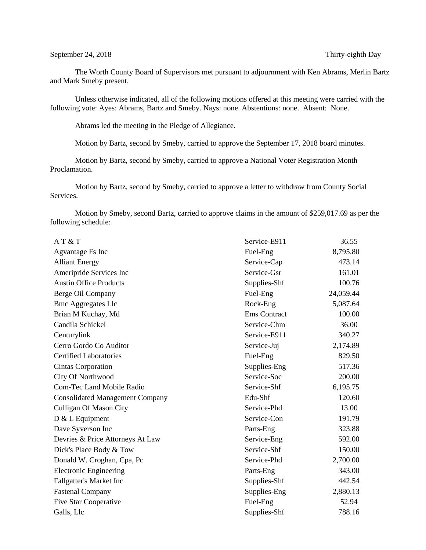The Worth County Board of Supervisors met pursuant to adjournment with Ken Abrams, Merlin Bartz and Mark Smeby present.

Unless otherwise indicated, all of the following motions offered at this meeting were carried with the following vote: Ayes: Abrams, Bartz and Smeby. Nays: none. Abstentions: none. Absent: None.

Abrams led the meeting in the Pledge of Allegiance.

Motion by Bartz, second by Smeby, carried to approve the September 17, 2018 board minutes.

Motion by Bartz, second by Smeby, carried to approve a National Voter Registration Month Proclamation.

Motion by Bartz, second by Smeby, carried to approve a letter to withdraw from County Social Services.

Motion by Smeby, second Bartz, carried to approve claims in the amount of \$259,017.69 as per the following schedule:

| AT&T                                   | Service-E911        | 36.55     |
|----------------------------------------|---------------------|-----------|
| Agvantage Fs Inc                       | Fuel-Eng            | 8,795.80  |
| <b>Alliant Energy</b>                  | Service-Cap         | 473.14    |
| Ameripride Services Inc                | Service-Gsr         | 161.01    |
| <b>Austin Office Products</b>          | Supplies-Shf        | 100.76    |
| Berge Oil Company                      | Fuel-Eng            | 24,059.44 |
| <b>Bmc Aggregates Llc</b>              | Rock-Eng            | 5,087.64  |
| Brian M Kuchay, Md                     | <b>Ems</b> Contract | 100.00    |
| Candila Schickel                       | Service-Chm         | 36.00     |
| Centurylink                            | Service-E911        | 340.27    |
| Cerro Gordo Co Auditor                 | Service-Juj         | 2,174.89  |
| <b>Certified Laboratories</b>          | Fuel-Eng            | 829.50    |
| Cintas Corporation                     | Supplies-Eng        | 517.36    |
| <b>City Of Northwood</b>               | Service-Soc         | 200.00    |
| <b>Com-Tec Land Mobile Radio</b>       | Service-Shf         | 6,195.75  |
| <b>Consolidated Management Company</b> | Edu-Shf             | 120.60    |
| <b>Culligan Of Mason City</b>          | Service-Phd         | 13.00     |
| $D & L$ Equipment                      | Service-Con         | 191.79    |
| Dave Syverson Inc                      | Parts-Eng           | 323.88    |
| Devries & Price Attorneys At Law       | Service-Eng         | 592.00    |
| Dick's Place Body & Tow                | Service-Shf         | 150.00    |
| Donald W. Croghan, Cpa, Pc             | Service-Phd         | 2,700.00  |
| <b>Electronic Engineering</b>          | Parts-Eng           | 343.00    |
| Fallgatter's Market Inc                | Supplies-Shf        | 442.54    |
| <b>Fastenal Company</b>                | Supplies-Eng        | 2,880.13  |
| <b>Five Star Cooperative</b>           | Fuel-Eng            |           |
| Galls, Llc                             | Supplies-Shf        | 788.16    |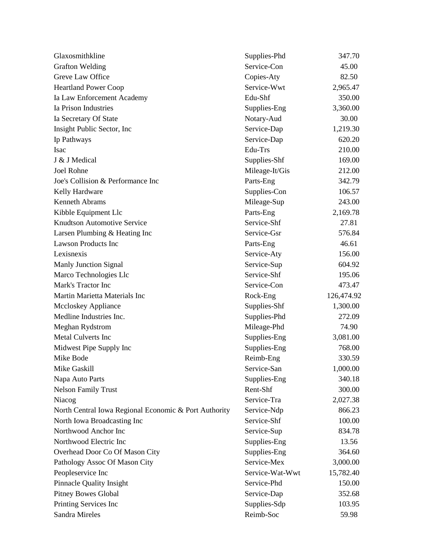| Glaxosmithkline                                       | Supplies-Phd    | 347.70     |
|-------------------------------------------------------|-----------------|------------|
| <b>Grafton Welding</b>                                | Service-Con     | 45.00      |
| Greve Law Office                                      | Copies-Aty      | 82.50      |
| <b>Heartland Power Coop</b>                           | Service-Wwt     | 2,965.47   |
| Ia Law Enforcement Academy                            | Edu-Shf         | 350.00     |
| Ia Prison Industries                                  | Supplies-Eng    | 3,360.00   |
| Ia Secretary Of State                                 | Notary-Aud      | 30.00      |
| Insight Public Sector, Inc.                           | Service-Dap     | 1,219.30   |
| Ip Pathways                                           | Service-Dap     | 620.20     |
| Isac                                                  | Edu-Trs         | 210.00     |
| J & J Medical                                         | Supplies-Shf    | 169.00     |
| Joel Rohne                                            | Mileage-It/Gis  | 212.00     |
| Joe's Collision & Performance Inc                     | Parts-Eng       | 342.79     |
| Kelly Hardware                                        | Supplies-Con    | 106.57     |
| <b>Kenneth Abrams</b>                                 | Mileage-Sup     | 243.00     |
| Kibble Equipment Llc                                  | Parts-Eng       | 2,169.78   |
| <b>Knudtson Automotive Service</b>                    | Service-Shf     | 27.81      |
| Larsen Plumbing & Heating Inc                         | Service-Gsr     | 576.84     |
| <b>Lawson Products Inc</b>                            | Parts-Eng       | 46.61      |
| Lexisnexis                                            | Service-Aty     | 156.00     |
| <b>Manly Junction Signal</b>                          | Service-Sup     | 604.92     |
| Marco Technologies Llc                                | Service-Shf     | 195.06     |
| Mark's Tractor Inc                                    | Service-Con     | 473.47     |
| Martin Marietta Materials Inc                         | Rock-Eng        | 126,474.92 |
| Mccloskey Appliance                                   | Supplies-Shf    | 1,300.00   |
| Medline Industries Inc.                               | Supplies-Phd    | 272.09     |
| Meghan Rydstrom                                       | Mileage-Phd     | 74.90      |
| Metal Culverts Inc                                    | Supplies-Eng    | 3,081.00   |
| Midwest Pipe Supply Inc                               | Supplies-Eng    | 768.00     |
| Mike Bode                                             | Reimb-Eng       | 330.59     |
| Mike Gaskill                                          | Service-San     | 1,000.00   |
| Napa Auto Parts                                       | Supplies-Eng    | 340.18     |
| <b>Nelson Family Trust</b>                            | Rent-Shf        | 300.00     |
| Niacog                                                | Service-Tra     | 2,027.38   |
| North Central Iowa Regional Economic & Port Authority | Service-Ndp     | 866.23     |
| North Iowa Broadcasting Inc                           | Service-Shf     | 100.00     |
| Northwood Anchor Inc                                  | Service-Sup     | 834.78     |
| Northwood Electric Inc                                | Supplies-Eng    | 13.56      |
| Overhead Door Co Of Mason City                        | Supplies-Eng    | 364.60     |
| Pathology Assoc Of Mason City                         | Service-Mex     | 3,000.00   |
| Peopleservice Inc                                     | Service-Wat-Wwt | 15,782.40  |
| <b>Pinnacle Quality Insight</b>                       | Service-Phd     | 150.00     |
| <b>Pitney Bowes Global</b>                            | Service-Dap     | 352.68     |
| Printing Services Inc                                 | Supplies-Sdp    | 103.95     |
| Sandra Mireles                                        | Reimb-Soc       | 59.98      |